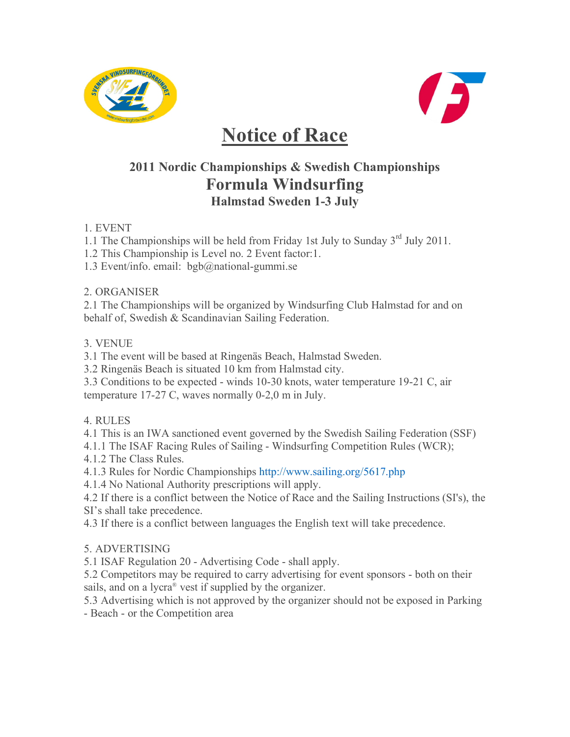



# **Notice of Race**

## **2011 Nordic Championships & Swedish Championships Formula Windsurfing Halmstad Sweden 1-3 July**

1. EVENT

1.1 The Championships will be held from Friday 1st July to Sunday 3rd July 2011.

1.2 This Championship is Level no. 2 Event factor:1.

1.3 Event/info. email: bgb@national-gummi.se

2. ORGANISER

2.1 The Championships will be organized by Windsurfing Club Halmstad for and on behalf of, Swedish & Scandinavian Sailing Federation.

3. VENUE

3.1 The event will be based at Ringenäs Beach, Halmstad Sweden.

3.2 Ringenäs Beach is situated 10 km from Halmstad city.

3.3 Conditions to be expected - winds 10-30 knots, water temperature 19-21 C, air temperature 17-27 C, waves normally 0-2,0 m in July.

4. RULES

4.1 This is an IWA sanctioned event governed by the Swedish Sailing Federation (SSF)

4.1.1 The ISAF Racing Rules of Sailing - Windsurfing Competition Rules (WCR);

4.1.2 The Class Rules.

4.1.3 Rules for Nordic Championships http://www.sailing.org/5617.php

4.1.4 No National Authority prescriptions will apply.

4.2 If there is a conflict between the Notice of Race and the Sailing Instructions (SI's), the SI's shall take precedence.

4.3 If there is a conflict between languages the English text will take precedence.

### 5. ADVERTISING

5.1 ISAF Regulation 20 - Advertising Code - shall apply.

5.2 Competitors may be required to carry advertising for event sponsors - both on their sails, and on a lycra® vest if supplied by the organizer.

5.3 Advertising which is not approved by the organizer should not be exposed in Parking - Beach - or the Competition area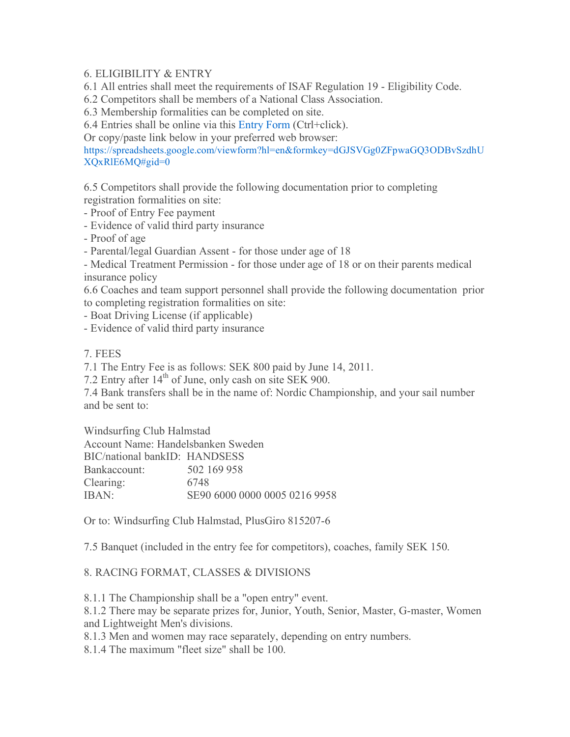#### 6. ELIGIBILITY & ENTRY

6.1 All entries shall meet the requirements of ISAF Regulation 19 - Eligibility Code.

6.2 Competitors shall be members of a National Class Association.

6.3 Membership formalities can be completed on site.

6.4 Entries shall be online via this Entry Form (Ctrl+click).

Or copy/paste link below in your preferred web browser:

https://spreadsheets.google.com/viewform?hl=en&formkey=dGJSVGg0ZFpwaGQ3ODBvSzdhU XQxRlE6MQ#gid=0

6.5 Competitors shall provide the following documentation prior to completing registration formalities on site:

- Proof of Entry Fee payment

- Evidence of valid third party insurance

- Proof of age

- Parental/legal Guardian Assent - for those under age of 18

- Medical Treatment Permission - for those under age of 18 or on their parents medical insurance policy

6.6 Coaches and team support personnel shall provide the following documentation prior to completing registration formalities on site:

- Boat Driving License (if applicable)

- Evidence of valid third party insurance

7. FEES

7.1 The Entry Fee is as follows: SEK 800 paid by June 14, 2011.

7.2 Entry after 14<sup>th</sup> of June, only cash on site SEK 900.

7.4 Bank transfers shall be in the name of: Nordic Championship, and your sail number and be sent to:

Windsurfing Club Halmstad Account Name: Handelsbanken Sweden

| Account Name: Handelsbanken Sweden |                               |
|------------------------------------|-------------------------------|
| BIC/national bankID: HANDSESS      |                               |
| Bankaccount:                       | 502 169 958                   |
| Clearing:                          | 6748                          |
| IBAN:                              | SE90 6000 0000 0005 0216 9958 |
|                                    |                               |

Or to: Windsurfing Club Halmstad, PlusGiro 815207-6

7.5 Banquet (included in the entry fee for competitors), coaches, family SEK 150.

#### 8. RACING FORMAT, CLASSES & DIVISIONS

8.1.1 The Championship shall be a "open entry" event.

8.1.2 There may be separate prizes for, Junior, Youth, Senior, Master, G-master, Women and Lightweight Men's divisions.

8.1.3 Men and women may race separately, depending on entry numbers.

8.1.4 The maximum "fleet size" shall be 100.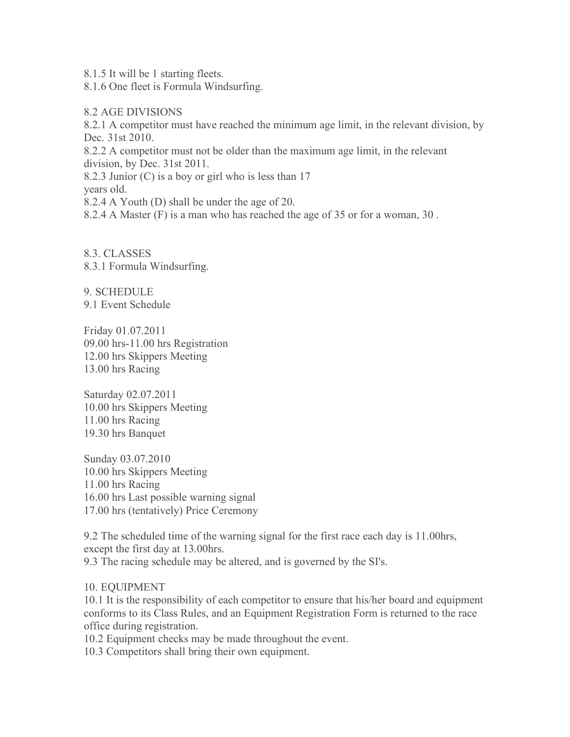8.1.5 It will be 1 starting fleets.

8.1.6 One fleet is Formula Windsurfing.

#### 8.2 AGE DIVISIONS

8.2.1 A competitor must have reached the minimum age limit, in the relevant division, by Dec. 31st 2010.

8.2.2 A competitor must not be older than the maximum age limit, in the relevant division, by Dec. 31st 2011.

8.2.3 Junior (C) is a boy or girl who is less than 17

years old.

8.2.4 A Youth (D) shall be under the age of 20.

8.2.4 A Master (F) is a man who has reached the age of 35 or for a woman, 30 .

8.3. CLASSES 8.3.1 Formula Windsurfing.

9. SCHEDULE 9.1 Event Schedule

Friday 01.07.2011 09.00 hrs-11.00 hrs Registration 12.00 hrs Skippers Meeting 13.00 hrs Racing

Saturday 02.07.2011 10.00 hrs Skippers Meeting 11.00 hrs Racing 19.30 hrs Banquet

Sunday 03.07.2010 10.00 hrs Skippers Meeting 11.00 hrs Racing 16.00 hrs Last possible warning signal 17.00 hrs (tentatively) Price Ceremony

9.2 The scheduled time of the warning signal for the first race each day is 11.00hrs, except the first day at 13.00hrs.

9.3 The racing schedule may be altered, and is governed by the SI's.

10. EQUIPMENT

10.1 It is the responsibility of each competitor to ensure that his/her board and equipment conforms to its Class Rules, and an Equipment Registration Form is returned to the race office during registration.

10.2 Equipment checks may be made throughout the event.

10.3 Competitors shall bring their own equipment.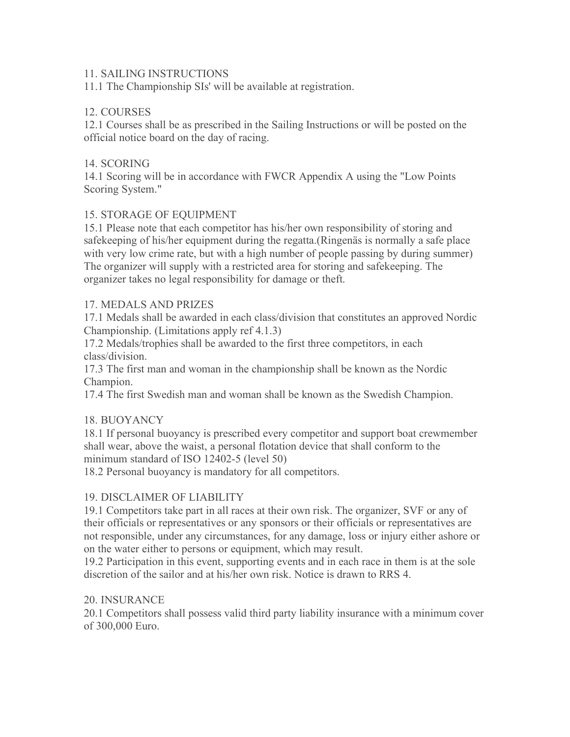#### 11. SAILING INSTRUCTIONS

11.1 The Championship SIs' will be available at registration.

#### 12. COURSES

12.1 Courses shall be as prescribed in the Sailing Instructions or will be posted on the official notice board on the day of racing.

#### 14. SCORING

14.1 Scoring will be in accordance with FWCR Appendix A using the "Low Points Scoring System."

#### 15. STORAGE OF EQUIPMENT

15.1 Please note that each competitor has his/her own responsibility of storing and safekeeping of his/her equipment during the regatta.(Ringenäs is normally a safe place with very low crime rate, but with a high number of people passing by during summer) The organizer will supply with a restricted area for storing and safekeeping. The organizer takes no legal responsibility for damage or theft.

#### 17. MEDALS AND PRIZES

17.1 Medals shall be awarded in each class/division that constitutes an approved Nordic Championship. (Limitations apply ref 4.1.3)

17.2 Medals/trophies shall be awarded to the first three competitors, in each class/division.

17.3 The first man and woman in the championship shall be known as the Nordic Champion.

17.4 The first Swedish man and woman shall be known as the Swedish Champion.

#### 18. BUOYANCY

18.1 If personal buoyancy is prescribed every competitor and support boat crewmember shall wear, above the waist, a personal flotation device that shall conform to the minimum standard of ISO 12402-5 (level 50)

18.2 Personal buoyancy is mandatory for all competitors.

#### 19. DISCLAIMER OF LIABILITY

19.1 Competitors take part in all races at their own risk. The organizer, SVF or any of their officials or representatives or any sponsors or their officials or representatives are not responsible, under any circumstances, for any damage, loss or injury either ashore or on the water either to persons or equipment, which may result.

19.2 Participation in this event, supporting events and in each race in them is at the sole discretion of the sailor and at his/her own risk. Notice is drawn to RRS 4.

#### 20. INSURANCE

20.1 Competitors shall possess valid third party liability insurance with a minimum cover of 300,000 Euro.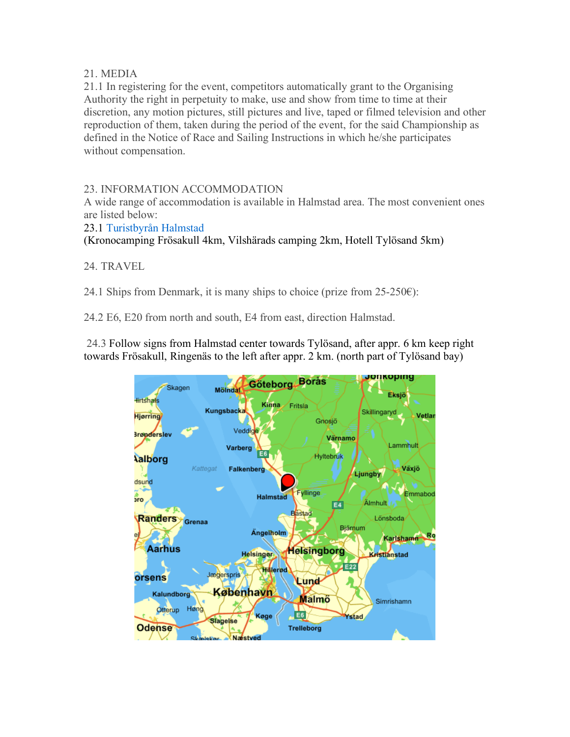#### 21. MEDIA

21.1 In registering for the event, competitors automatically grant to the Organising Authority the right in perpetuity to make, use and show from time to time at their discretion, any motion pictures, still pictures and live, taped or filmed television and other reproduction of them, taken during the period of the event, for the said Championship as defined in the Notice of Race and Sailing Instructions in which he/she participates without compensation.

23. INFORMATION ACCOMMODATION

A wide range of accommodation is available in Halmstad area. The most convenient ones are listed below:

23.1 Turistbyrån Halmstad

(Kronocamping Frösakull 4km, Vilshärads camping 2km, Hotell Tylösand 5km)

24. TRAVEL

24.1 Ships from Denmark, it is many ships to choice (prize from  $25-250 \epsilon$ ):

24.2 E6, E20 from north and south, E4 from east, direction Halmstad.

 24.3 Follow signs from Halmstad center towards Tylösand, after appr. 6 km keep right towards Frösakull, Ringenäs to the left after appr. 2 km. (north part of Tylösand bay)